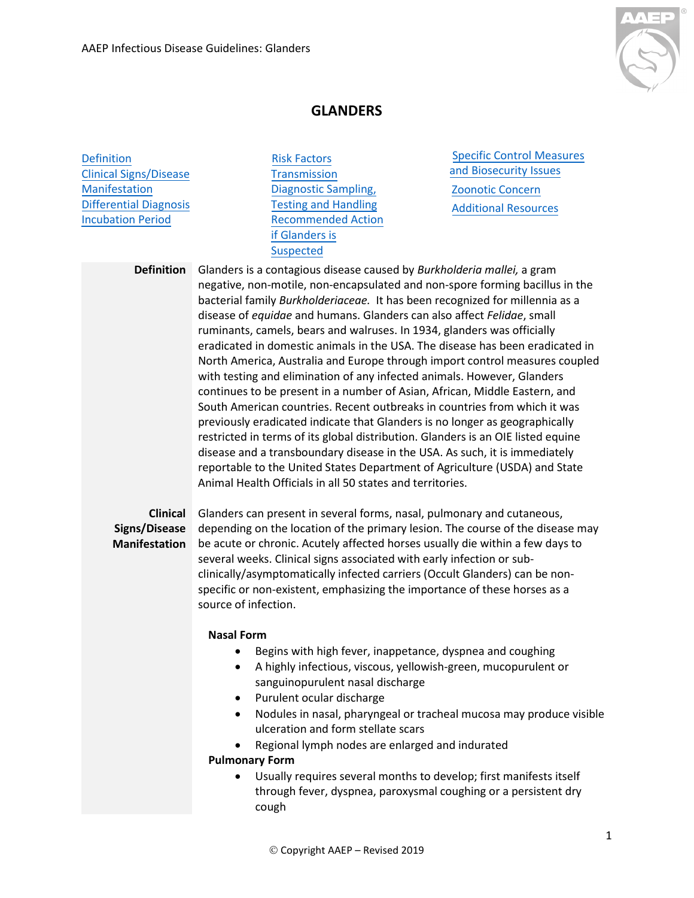

## **GLANDERS**

**[Definition](#page-0-0)** [Clinical Signs/Disease](#page-0-1) [Manifestation](#page-0-1) [Differential Diagnosis](#page-1-0) [Incubation Period](#page-1-0) 

Risk [Factors](#page-1-0) **[Transmission](#page-1-0)** [Diagnostic](#page-1-1) Sampling, Testing and [Handling](#page-1-1) [Recommended](#page-2-0) Action if Glanders is Suspected

Specific Control [Measures](#page-0-0)  and Bios[ecurity Issues](#page-2-0) Zoonotic [Concern](#page-2-0)  Additional [Resources](#page-2-0)

<span id="page-0-0"></span>**Definition** Glanders is a contagious disease caused by *Burkholderia mallei,* a gram negative, non-motile, non-encapsulated and non-spore forming bacillus in the bacterial family *Burkholderiaceae.* It has been recognized for millennia as a disease of *equidae* and humans. Glanders can also affect *Felidae*, small ruminants, camels, bears and walruses. In 1934, glanders was officially eradicated in domestic animals in the USA. The disease has been eradicated in North America, Australia and Europe through import control measures coupled with testing and elimination of any infected animals. However, Glanders continues to be present in a number of Asian, African, Middle Eastern, and South American countries. Recent outbreaks in countries from which it was previously eradicated indicate that Glanders is no longer as geographically restricted in terms of its global distribution. Glanders is an OIE listed equine disease and a transboundary disease in the USA. As such, it is immediately reportable to the United States Department of Agriculture (USDA) and State Animal Health Officials in all 50 states and territories.

## <span id="page-0-1"></span>**Manifestation**

**Clinical**  Glanders can present in several forms, nasal, pulmonary and cutaneous, **Signs/Disease**  depending on the location of the primary lesion. The course of the disease may be acute or chronic. Acutely affected horses usually die within a few days to several weeks. Clinical signs associated with early infection or subclinically/asymptomatically infected carriers (Occult Glanders) can be nonspecific or non-existent, emphasizing the importance of these horses as a source of infection.

## **Nasal Form**

- Begins with high fever, inappetance, dyspnea and coughing
- A highly infectious, viscous, yellowish-green, mucopurulent or sanguinopurulent nasal discharge
- Purulent ocular discharge
- Nodules in nasal, pharyngeal or tracheal mucosa may produce visible ulceration and form stellate scars
- Regional lymph nodes are enlarged and indurated

## **Pulmonary Form**

• Usually requires several months to develop; first manifests itself through fever, dyspnea, paroxysmal coughing or a persistent dry cough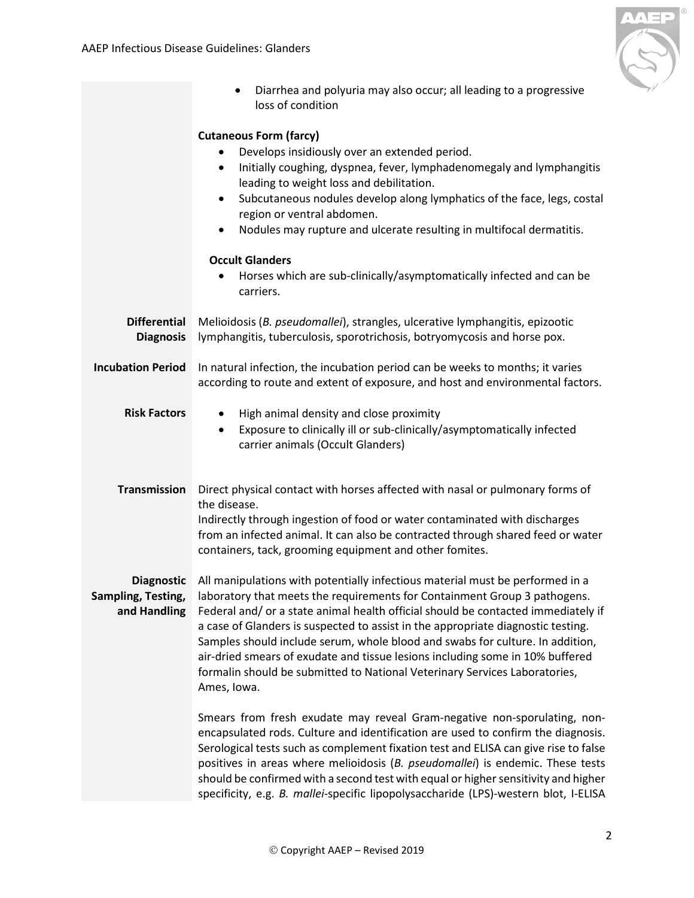

<span id="page-1-1"></span><span id="page-1-0"></span>

|                                                         | Diarrhea and polyuria may also occur; all leading to a progressive<br>$\bullet$<br>loss of condition                                                                                                                                                                                                                                                                                                                                                                                                                                                                                               |
|---------------------------------------------------------|----------------------------------------------------------------------------------------------------------------------------------------------------------------------------------------------------------------------------------------------------------------------------------------------------------------------------------------------------------------------------------------------------------------------------------------------------------------------------------------------------------------------------------------------------------------------------------------------------|
|                                                         | <b>Cutaneous Form (farcy)</b><br>Develops insidiously over an extended period.<br>Initially coughing, dyspnea, fever, lymphadenomegaly and lymphangitis<br>$\bullet$<br>leading to weight loss and debilitation.<br>Subcutaneous nodules develop along lymphatics of the face, legs, costal<br>$\bullet$<br>region or ventral abdomen.<br>Nodules may rupture and ulcerate resulting in multifocal dermatitis.<br>$\bullet$                                                                                                                                                                        |
|                                                         | <b>Occult Glanders</b><br>Horses which are sub-clinically/asymptomatically infected and can be<br>carriers.                                                                                                                                                                                                                                                                                                                                                                                                                                                                                        |
| <b>Differential</b><br><b>Diagnosis</b>                 | Melioidosis (B. pseudomallei), strangles, ulcerative lymphangitis, epizootic<br>lymphangitis, tuberculosis, sporotrichosis, botryomycosis and horse pox.                                                                                                                                                                                                                                                                                                                                                                                                                                           |
| <b>Incubation Period</b>                                | In natural infection, the incubation period can be weeks to months; it varies<br>according to route and extent of exposure, and host and environmental factors.                                                                                                                                                                                                                                                                                                                                                                                                                                    |
| <b>Risk Factors</b>                                     | High animal density and close proximity<br>$\bullet$<br>Exposure to clinically ill or sub-clinically/asymptomatically infected<br>$\bullet$<br>carrier animals (Occult Glanders)                                                                                                                                                                                                                                                                                                                                                                                                                   |
| <b>Transmission</b>                                     | Direct physical contact with horses affected with nasal or pulmonary forms of<br>the disease.<br>Indirectly through ingestion of food or water contaminated with discharges<br>from an infected animal. It can also be contracted through shared feed or water<br>containers, tack, grooming equipment and other fomites.                                                                                                                                                                                                                                                                          |
| <b>Diagnostic</b><br>Sampling, Testing,<br>and Handling | All manipulations with potentially infectious material must be performed in a<br>laboratory that meets the requirements for Containment Group 3 pathogens.<br>Federal and/ or a state animal health official should be contacted immediately if<br>a case of Glanders is suspected to assist in the appropriate diagnostic testing.<br>Samples should include serum, whole blood and swabs for culture. In addition,<br>air-dried smears of exudate and tissue lesions including some in 10% buffered<br>formalin should be submitted to National Veterinary Services Laboratories,<br>Ames, Iowa. |
|                                                         | Smears from fresh exudate may reveal Gram-negative non-sporulating, non-<br>encapsulated rods. Culture and identification are used to confirm the diagnosis.<br>Serological tests such as complement fixation test and ELISA can give rise to false<br>positives in areas where melioidosis (B. pseudomallei) is endemic. These tests<br>should be confirmed with a second test with equal or higher sensitivity and higher<br>specificity, e.g. B. mallei-specific lipopolysaccharide (LPS)-western blot, I-ELISA                                                                                 |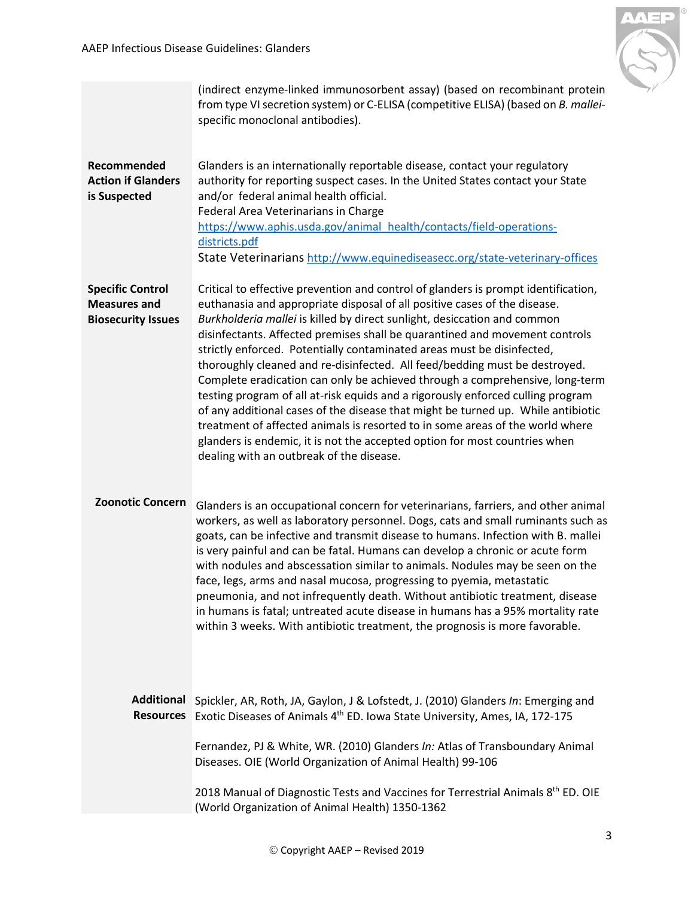

<span id="page-2-1"></span><span id="page-2-0"></span>

|                                                                             | (indirect enzyme-linked immunosorbent assay) (based on recombinant protein<br>from type VI secretion system) or C-ELISA (competitive ELISA) (based on B. mallei-<br>specific monoclonal antibodies).                                                                                                                                                                                                                                                                                                                                                                                                                                                                                                                                                                                                                                                                                                                                                 |
|-----------------------------------------------------------------------------|------------------------------------------------------------------------------------------------------------------------------------------------------------------------------------------------------------------------------------------------------------------------------------------------------------------------------------------------------------------------------------------------------------------------------------------------------------------------------------------------------------------------------------------------------------------------------------------------------------------------------------------------------------------------------------------------------------------------------------------------------------------------------------------------------------------------------------------------------------------------------------------------------------------------------------------------------|
| Recommended<br><b>Action if Glanders</b><br>is Suspected                    | Glanders is an internationally reportable disease, contact your regulatory<br>authority for reporting suspect cases. In the United States contact your State<br>and/or federal animal health official.<br>Federal Area Veterinarians in Charge<br>https://www.aphis.usda.gov/animal health/contacts/field-operations-<br>districts.pdf<br>State Veterinarians http://www.equinediseasecc.org/state-veterinary-offices                                                                                                                                                                                                                                                                                                                                                                                                                                                                                                                                |
| <b>Specific Control</b><br><b>Measures and</b><br><b>Biosecurity Issues</b> | Critical to effective prevention and control of glanders is prompt identification,<br>euthanasia and appropriate disposal of all positive cases of the disease.<br>Burkholderia mallei is killed by direct sunlight, desiccation and common<br>disinfectants. Affected premises shall be quarantined and movement controls<br>strictly enforced. Potentially contaminated areas must be disinfected,<br>thoroughly cleaned and re-disinfected. All feed/bedding must be destroyed.<br>Complete eradication can only be achieved through a comprehensive, long-term<br>testing program of all at-risk equids and a rigorously enforced culling program<br>of any additional cases of the disease that might be turned up. While antibiotic<br>treatment of affected animals is resorted to in some areas of the world where<br>glanders is endemic, it is not the accepted option for most countries when<br>dealing with an outbreak of the disease. |
| <b>Zoonotic Concern</b>                                                     | Glanders is an occupational concern for veterinarians, farriers, and other animal<br>workers, as well as laboratory personnel. Dogs, cats and small ruminants such as<br>goats, can be infective and transmit disease to humans. Infection with B. mallei<br>is very painful and can be fatal. Humans can develop a chronic or acute form<br>with nodules and abscessation similar to animals. Nodules may be seen on the<br>face, legs, arms and nasal mucosa, progressing to pyemia, metastatic<br>pneumonia, and not infrequently death. Without antibiotic treatment, disease<br>in humans is fatal; untreated acute disease in humans has a 95% mortality rate<br>within 3 weeks. With antibiotic treatment, the prognosis is more favorable.                                                                                                                                                                                                   |
| <b>Additional</b><br><b>Resources</b>                                       | Spickler, AR, Roth, JA, Gaylon, J & Lofstedt, J. (2010) Glanders In: Emerging and<br>Exotic Diseases of Animals 4 <sup>th</sup> ED. Iowa State University, Ames, IA, 172-175                                                                                                                                                                                                                                                                                                                                                                                                                                                                                                                                                                                                                                                                                                                                                                         |
|                                                                             | Fernandez, PJ & White, WR. (2010) Glanders In: Atlas of Transboundary Animal<br>Diseases. OIE (World Organization of Animal Health) 99-106                                                                                                                                                                                                                                                                                                                                                                                                                                                                                                                                                                                                                                                                                                                                                                                                           |
|                                                                             | 2018 Manual of Diagnostic Tests and Vaccines for Terrestrial Animals 8 <sup>th</sup> ED. OIE<br>(World Organization of Animal Health) 1350-1362                                                                                                                                                                                                                                                                                                                                                                                                                                                                                                                                                                                                                                                                                                                                                                                                      |